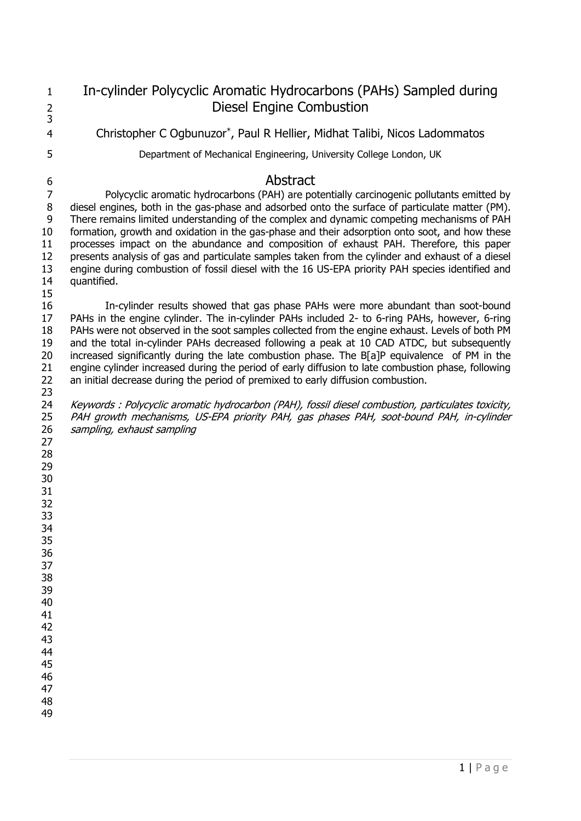In-cylinder Polycyclic Aromatic Hydrocarbons (PAHs) Sampled during Diesel Engine Combustion 4 Christopher C Ogbunuzor\*, Paul R Hellier, Midhat Talibi, Nicos Ladommatos Department of Mechanical Engineering, University College London, UK Abstract

 Polycyclic aromatic hydrocarbons (PAH) are potentially carcinogenic pollutants emitted by diesel engines, both in the gas-phase and adsorbed onto the surface of particulate matter (PM). There remains limited understanding of the complex and dynamic competing mechanisms of PAH formation, growth and oxidation in the gas-phase and their adsorption onto soot, and how these processes impact on the abundance and composition of exhaust PAH. Therefore, this paper presents analysis of gas and particulate samples taken from the cylinder and exhaust of a diesel engine during combustion of fossil diesel with the 16 US-EPA priority PAH species identified and quantified.

 In-cylinder results showed that gas phase PAHs were more abundant than soot-bound PAHs in the engine cylinder. The in-cylinder PAHs included 2- to 6-ring PAHs, however, 6-ring PAHs were not observed in the soot samples collected from the engine exhaust. Levels of both PM and the total in-cylinder PAHs decreased following a peak at 10 CAD ATDC, but subsequently increased significantly during the late combustion phase. The B[a]P equivalence of PM in the engine cylinder increased during the period of early diffusion to late combustion phase, following an initial decrease during the period of premixed to early diffusion combustion. 

 Keywords : Polycyclic aromatic hydrocarbon (PAH), fossil diesel combustion, particulates toxicity, 25 PAH growth mechanisms, US-EPA priority PAH, gas phases PAH, soot-bound PAH, in-cylinder sampling, exhaust sampling

 $1 |$  P a g e

- 
-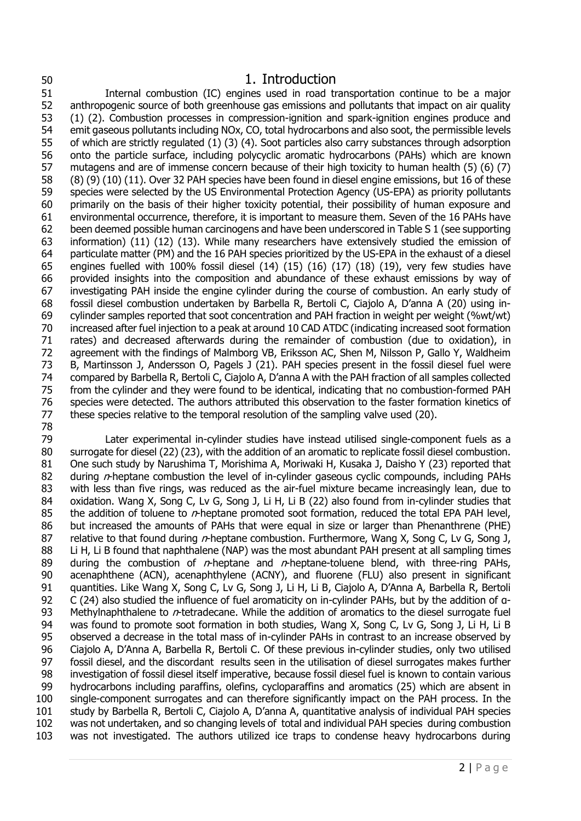## 1. Introduction

 Internal combustion (IC) engines used in road transportation continue to be a major anthropogenic source of both greenhouse gas emissions and pollutants that impact on air quality (1) (2). Combustion processes in compression-ignition and spark-ignition engines produce and emit gaseous pollutants including NOx, CO, total hydrocarbons and also soot, the permissible levels of which are strictly regulated (1) (3) (4). Soot particles also carry substances through adsorption onto the particle surface, including polycyclic aromatic hydrocarbons (PAHs) which are known mutagens and are of immense concern because of their high toxicity to human health (5) (6) (7) (8) (9) (10) (11). Over 32 PAH species have been found in diesel engine emissions, but 16 of these species were selected by the US Environmental Protection Agency (US-EPA) as priority pollutants primarily on the basis of their higher toxicity potential, their possibility of human exposure and environmental occurrence, therefore, it is important to measure them. Seven of the 16 PAHs have been deemed possible human carcinogens and have been underscored in Table S 1 (see supporting information) (11) (12) (13). While many researchers have extensively studied the emission of particulate matter (PM) and the 16 PAH species prioritized by the US-EPA in the exhaust of a diesel engines fuelled with 100% fossil diesel (14) (15) (16) (17) (18) (19), very few studies have provided insights into the composition and abundance of these exhaust emissions by way of investigating PAH inside the engine cylinder during the course of combustion. An early study of fossil diesel combustion undertaken by Barbella R, Bertoli C, Ciajolo A, D'anna A (20) using in- cylinder samples reported that soot concentration and PAH fraction in weight per weight (%wt/wt) increased after fuel injection to a peak at around 10 CAD ATDC (indicating increased soot formation rates) and decreased afterwards during the remainder of combustion (due to oxidation), in agreement with the findings of Malmborg VB, Eriksson AC, Shen M, Nilsson P, Gallo Y, Waldheim B, Martinsson J, Andersson O, Pagels J (21). PAH species present in the fossil diesel fuel were 74 compared by Barbella R, Bertoli C, Ciajolo A, D'anna A with the PAH fraction of all samples collected<br>75 from the cylinder and they were found to be identical, indicating that no combustion-formed PAH from the cylinder and they were found to be identical, indicating that no combustion-formed PAH species were detected. The authors attributed this observation to the faster formation kinetics of these species relative to the temporal resolution of the sampling valve used (20). 

 Later experimental in-cylinder studies have instead utilised single-component fuels as a surrogate for diesel (22) (23), with the addition of an aromatic to replicate fossil diesel combustion. One such study by Narushima T, Morishima A, Moriwaki H, Kusaka J, Daisho Y (23) reported that 82 during  $n$ -heptane combustion the level of in-cylinder gaseous cyclic compounds, including PAHs with less than five rings, was reduced as the air-fuel mixture became increasingly lean, due to 84 oxidation. Wang X, Song C, Lv G, Song J, Li H, Li B (22) also found from in-cylinder studies that 85 the addition of toluene to  $n$ -heptane promoted soot formation, reduced the total EPA PAH level, but increased the amounts of PAHs that were equal in size or larger than Phenanthrene (PHE) 87 relative to that found during  $n$ -heptane combustion. Furthermore, Wang X, Song C, Lv G, Song J, 88 Li H, Li B found that naphthalene (NAP) was the most abundant PAH present at all sampling times 89 during the combustion of  $n$ -heptane and  $n$ -heptane-toluene blend, with three-ring PAHs, acenaphthene (ACN), acenaphthylene (ACNY), and fluorene (FLU) also present in significant quantities. Like Wang X, Song C, Lv G, Song J, Li H, Li B, Ciajolo A, D'Anna A, Barbella R, Bertoli C (24) also studied the influence of fuel aromaticity on in-cylinder PAHs, but by the addition of α-93 Methylnaphthalene to  $n$ -tetradecane. While the addition of aromatics to the diesel surrogate fuel was found to promote soot formation in both studies, Wang X, Song C, Lv G, Song J, Li H, Li B observed a decrease in the total mass of in-cylinder PAHs in contrast to an increase observed by Ciajolo A, D'Anna A, Barbella R, Bertoli C. Of these previous in-cylinder studies, only two utilised fossil diesel, and the discordant results seen in the utilisation of diesel surrogates makes further investigation of fossil diesel itself imperative, because fossil diesel fuel is known to contain various hydrocarbons including paraffins, olefins, cycloparaffins and aromatics (25) which are absent in single-component surrogates and can therefore significantly impact on the PAH process. In the study by Barbella R, Bertoli C, Ciajolo A, D'anna A, quantitative analysis of individual PAH species was not undertaken, and so changing levels of total and individual PAH species during combustion was not investigated. The authors utilized ice traps to condense heavy hydrocarbons during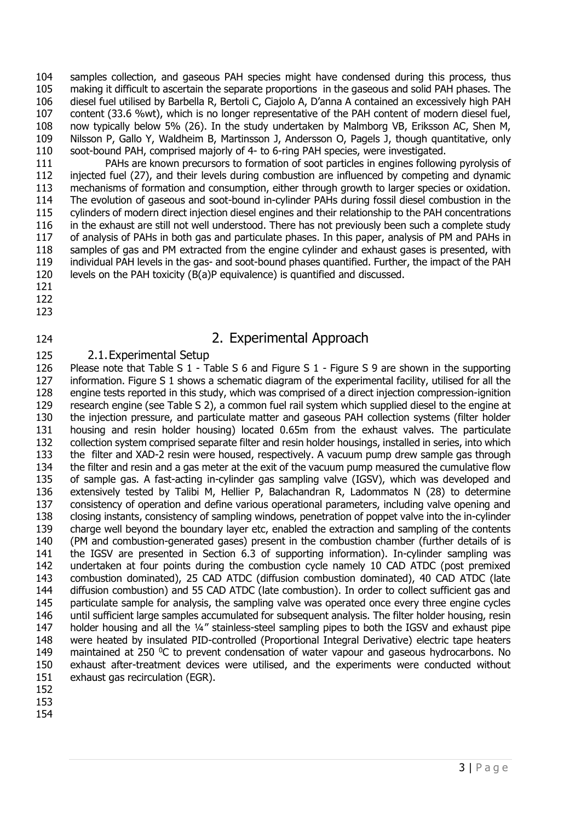104 samples collection, and gaseous PAH species might have condensed during this process, thus making it difficult to ascertain the separate proportions in the gaseous and solid PAH phases. The diesel fuel utilised by Barbella R, Bertoli C, Ciajolo A, D'anna A contained an excessively high PAH content (33.6 %wt), which is no longer representative of the PAH content of modern diesel fuel, now typically below 5% (26). In the study undertaken by Malmborg VB, Eriksson AC, Shen M, Nilsson P, Gallo Y, Waldheim B, Martinsson J, Andersson O, Pagels J, though quantitative, only soot-bound PAH, comprised majorly of 4- to 6-ring PAH species, were investigated.

 PAHs are known precursors to formation of soot particles in engines following pyrolysis of injected fuel (27), and their levels during combustion are influenced by competing and dynamic mechanisms of formation and consumption, either through growth to larger species or oxidation. The evolution of gaseous and soot-bound in-cylinder PAHs during fossil diesel combustion in the cylinders of modern direct injection diesel engines and their relationship to the PAH concentrations in the exhaust are still not well understood. There has not previously been such a complete study of analysis of PAHs in both gas and particulate phases. In this paper, analysis of PM and PAHs in samples of gas and PM extracted from the engine cylinder and exhaust gases is presented, with individual PAH levels in the gas- and soot-bound phases quantified. Further, the impact of the PAH levels on the PAH toxicity (B(a)P equivalence) is quantified and discussed.

- 
- 
- 

# 2. Experimental Approach

## 2.1.Experimental Setup

 Please note that Table S 1 - Table S 6 and Figure S 1 - Figure S 9 are shown in the supporting information. Figure S 1 shows a schematic diagram of the experimental facility, utilised for all the engine tests reported in this study, which was comprised of a direct injection compression-ignition research engine (see Table S 2), a common fuel rail system which supplied diesel to the engine at the injection pressure, and particulate matter and gaseous PAH collection systems (filter holder housing and resin holder housing) located 0.65m from the exhaust valves. The particulate collection system comprised separate filter and resin holder housings, installed in series, into which the filter and XAD-2 resin were housed, respectively. A vacuum pump drew sample gas through 134 the filter and resin and a gas meter at the exit of the vacuum pump measured the cumulative flow of sample gas. A fast-acting in-cylinder gas sampling valve (IGSV), which was developed and extensively tested by Talibi M, Hellier P, Balachandran R, Ladommatos N (28) to determine consistency of operation and define various operational parameters, including valve opening and closing instants, consistency of sampling windows, penetration of poppet valve into the in-cylinder charge well beyond the boundary layer etc, enabled the extraction and sampling of the contents (PM and combustion-generated gases) present in the combustion chamber (further details of is the IGSV are presented in Section 6.3 of supporting information). In-cylinder sampling was undertaken at four points during the combustion cycle namely 10 CAD ATDC (post premixed combustion dominated), 25 CAD ATDC (diffusion combustion dominated), 40 CAD ATDC (late diffusion combustion) and 55 CAD ATDC (late combustion). In order to collect sufficient gas and particulate sample for analysis, the sampling valve was operated once every three engine cycles until sufficient large samples accumulated for subsequent analysis. The filter holder housing, resin holder housing and all the ¼" stainless-steel sampling pipes to both the IGSV and exhaust pipe were heated by insulated PID-controlled (Proportional Integral Derivative) electric tape heaters 149 maintained at 250  $\degree$ C to prevent condensation of water vapour and gaseous hydrocarbons. No exhaust after-treatment devices were utilised, and the experiments were conducted without exhaust gas recirculation (EGR).

- 
- 
-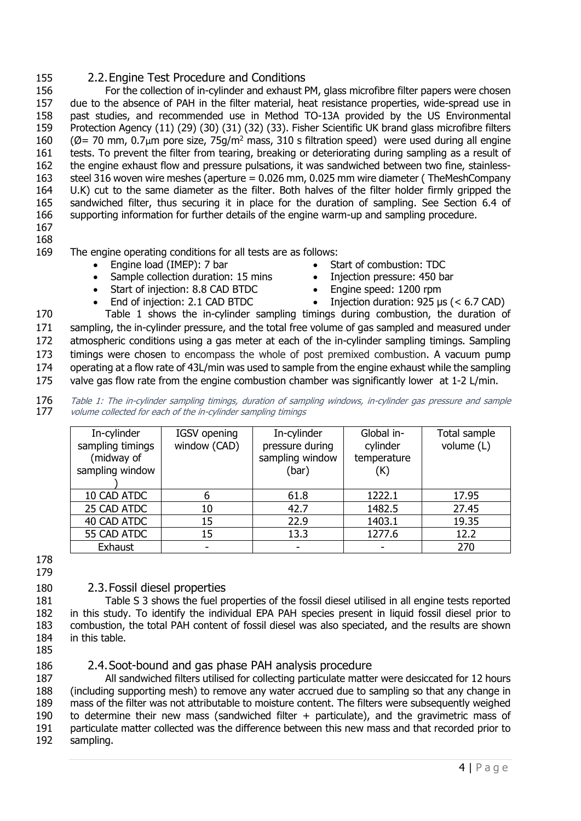### 155 2.2.Engine Test Procedure and Conditions

 For the collection of in-cylinder and exhaust PM, glass microfibre filter papers were chosen due to the absence of PAH in the filter material, heat resistance properties, wide-spread use in past studies, and recommended use in Method TO-13A provided by the US Environmental Protection Agency (11) (29) (30) (31) (32) (33). Fisher Scientific UK brand glass microfibre filters 160 ( $\emptyset$  = 70 mm, 0.7<sub>µ</sub>m pore size, 75g/m<sup>2</sup> mass, 310 s filtration speed) were used during all engine tests. To prevent the filter from tearing, breaking or deteriorating during sampling as a result of the engine exhaust flow and pressure pulsations, it was sandwiched between two fine, stainless- steel 316 woven wire meshes (aperture = 0.026 mm, 0.025 mm wire diameter ( TheMeshCompany U.K) cut to the same diameter as the filter. Both halves of the filter holder firmly gripped the sandwiched filter, thus securing it in place for the duration of sampling. See Section 6.4 of supporting information for further details of the engine warm-up and sampling procedure.

167 168

169 The engine operating conditions for all tests are as follows:

- Engine load (IMEP): 7 bar
- Sample collection duration: 15 mins
- Start of injection: 8.8 CAD BTDC
- End of injection: 2.1 CAD BTDC
- Start of combustion: TDC
- Injection pressure: 450 bar
- Engine speed: 1200 rpm
- Injection duration:  $925 \text{ }\mu\text{s}$  (< 6.7 CAD)

 Table 1 shows the in-cylinder sampling timings during combustion, the duration of 171 sampling, the in-cylinder pressure, and the total free volume of gas sampled and measured under atmospheric conditions using a gas meter at each of the in-cylinder sampling timings. Sampling timings were chosen to encompass the whole of post premixed combustion. A vacuum pump 174 operating at a flow rate of 43L/min was used to sample from the engine exhaust while the sampling valve gas flow rate from the engine combustion chamber was significantly lower at 1-2 L/min.

176 Table 1: The in-cylinder sampling timings, duration of sampling windows, in-cylinder gas pressure and sample<br>177 volume collected for each of the in-cylinder sampling timings volume collected for each of the in-cylinder sampling timings

| In-cylinder<br>sampling timings<br>(midway of<br>sampling window | IGSV opening<br>window (CAD) | In-cylinder<br>pressure during<br>sampling window<br>(bar) | Global in-<br>cylinder<br>temperature<br>(K) | Total sample<br>volume (L) |
|------------------------------------------------------------------|------------------------------|------------------------------------------------------------|----------------------------------------------|----------------------------|
| 10 CAD ATDC                                                      | 6                            | 61.8                                                       | 1222.1                                       | 17.95                      |
| 25 CAD ATDC                                                      | 10                           | 42.7                                                       | 1482.5                                       | 27.45                      |
| 40 CAD ATDC                                                      | 15                           | 22.9                                                       | 1403.1                                       | 19.35                      |
| 55 CAD ATDC                                                      | 15                           | 13.3                                                       | 1277.6                                       | 12.2                       |
| Exhaust                                                          |                              | $\overline{\phantom{a}}$                                   |                                              | 270                        |

178 179

## 180 2.3.Fossil diesel properties

 Table S 3 shows the fuel properties of the fossil diesel utilised in all engine tests reported in this study. To identify the individual EPA PAH species present in liquid fossil diesel prior to combustion, the total PAH content of fossil diesel was also speciated, and the results are shown in this table.

185

### 186 2.4.Soot-bound and gas phase PAH analysis procedure

 All sandwiched filters utilised for collecting particulate matter were desiccated for 12 hours (including supporting mesh) to remove any water accrued due to sampling so that any change in mass of the filter was not attributable to moisture content. The filters were subsequently weighed to determine their new mass (sandwiched filter + particulate), and the gravimetric mass of particulate matter collected was the difference between this new mass and that recorded prior to 192 sampling.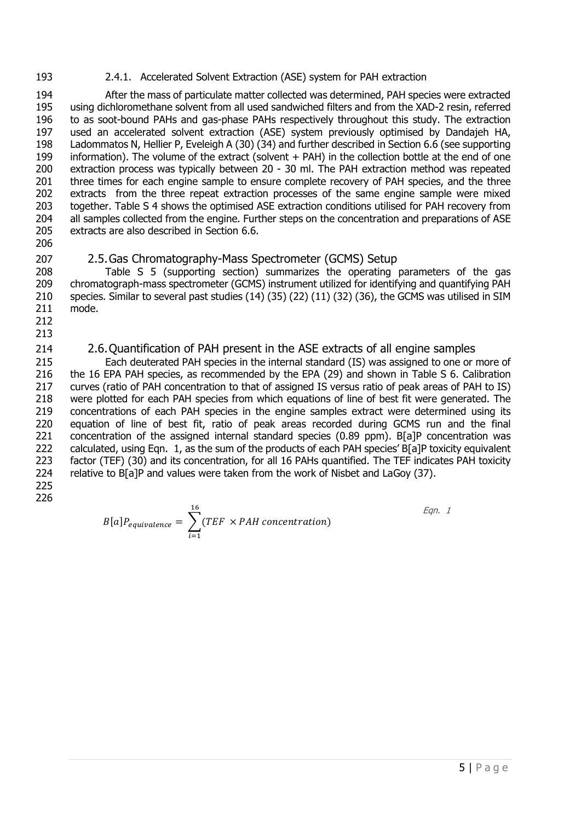#### 2.4.1. Accelerated Solvent Extraction (ASE) system for PAH extraction

 After the mass of particulate matter collected was determined, PAH species were extracted using dichloromethane solvent from all used sandwiched filters and from the XAD-2 resin, referred to as soot-bound PAHs and gas-phase PAHs respectively throughout this study. The extraction used an accelerated solvent extraction (ASE) system previously optimised by Dandajeh HA, Ladommatos N, Hellier P, Eveleigh A (30) (34) and further described in Section 6.6 (see supporting information). The volume of the extract (solvent + PAH) in the collection bottle at the end of one extraction process was typically between 20 - 30 ml. The PAH extraction method was repeated 201 three times for each engine sample to ensure complete recovery of PAH species, and the three extracts from the three repeat extraction processes of the same engine sample were mixed together. Table S 4 shows the optimised ASE extraction conditions utilised for PAH recovery from 204 all samples collected from the engine. Further steps on the concentration and preparations of ASE extracts are also described in Section 6.6.

## 2.5.Gas Chromatography-Mass Spectrometer (GCMS) Setup

 Table S 5 (supporting section) summarizes the operating parameters of the gas chromatograph-mass spectrometer (GCMS) instrument utilized for identifying and quantifying PAH species. Similar to several past studies (14) (35) (22) (11) (32) (36), the GCMS was utilised in SIM mode.

 

## 2.6.Quantification of PAH present in the ASE extracts of all engine samples

 Each deuterated PAH species in the internal standard (IS) was assigned to one or more of the 16 EPA PAH species, as recommended by the EPA (29) and shown in Table S 6. Calibration curves (ratio of PAH concentration to that of assigned IS versus ratio of peak areas of PAH to IS) were plotted for each PAH species from which equations of line of best fit were generated. The concentrations of each PAH species in the engine samples extract were determined using its equation of line of best fit, ratio of peak areas recorded during GCMS run and the final 221 concentration of the assigned internal standard species (0.89 ppm). B[a]P concentration was 222 calculated, using Eqn. 1, as the sum of the products of each PAH species' B[a]P toxicity equivalent factor (TEF) (30) and its concentration, for all 16 PAHs quantified. The TEF indicates PAH toxicity relative to B[a]P and values were taken from the work of Nisbet and LaGoy (37).

 

> $B[a] P_{equivalence} = \sum (TEF \times PAH concentration)$   $i=1$ Eqn. 1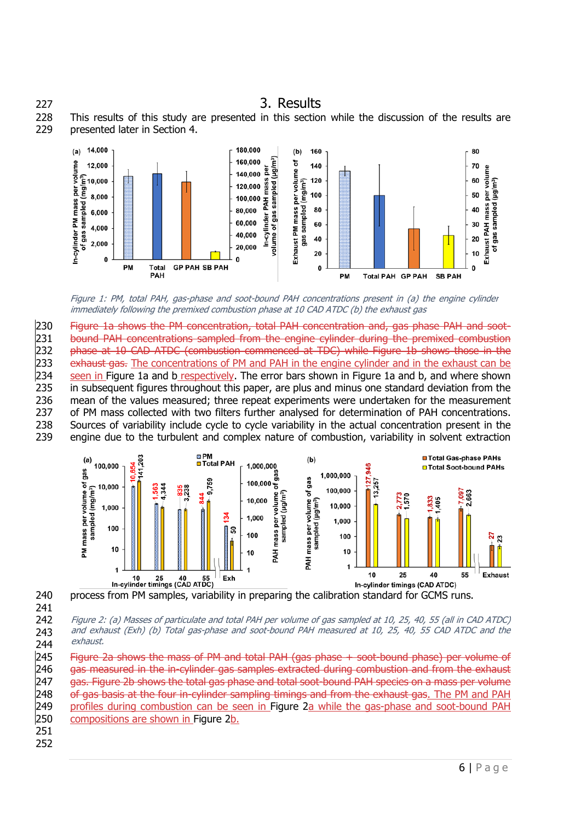# 227 3. Results

228 This results of this study are presented in this section while the discussion of the results are 229 presented later in Section 4.



<span id="page-5-0"></span>Figure 1: PM, total PAH, gas-phase and soot-bound PAH concentrations present in (a) the engine cylinder immediately following the premixed combustion phase at 10 CAD ATDC (b) the exhaust gas

230 Figure 1a shows the PM concentration, total PAH concentration and, gas phase PAH and soot-<br>231 bound PAH concentrations sampled from the engine cylinder during the premixed combustion bound PAH concentrations sampled from the engine cylinder during the premixed combustion 232 phase at 10 CAD ATDC (combustion commenced at TDC) while Figure 1b shows those in the 233 exhaust gas. The concentrations of PM and PAH in the engine cylinder and in the exhaust can be 234 seen in [Figure 1a](#page-5-0) and b respectively. The error bars shown in Figure 1a and b, and where shown 235 in subsequent figures throughout this paper, are plus and minus one standard deviation from the 236 mean of the values measured; three repeat experiments were undertaken for the measurement 237 of PM mass collected with two filters further analysed for determination of PAH concentrations. 238 Sources of variability include cycle to cycle variability in the actual concentration present in the 239 engine due to the turbulent and complex nature of combustion, variability in solvent extraction



241

<span id="page-5-1"></span>242 243 244 Figure 2: (a) Masses of particulate and total PAH per volume of gas sampled at 10, 25, 40, 55 (all in CAD ATDC) and exhaust (Exh) (b) Total gas-phase and soot-bound PAH measured at 10, 25, 40, 55 CAD ATDC and the exhaust.

245 Figure 2a shows the mass of PM and total PAH (gas phase + soot-bound phase) per volume of 246 gas measured in the in-cylinder gas samples extracted during combustion and from the exhaust 247 gas. Figure 2b shows the total gas phase and total soot-bound PAH species on a mass per volume 248 of gas basis at the four in-cylinder sampling timings and from the exhaust gas. The PM and PAH 249 profiles during combustion can be seen in [Figure 2a](#page-5-1) while the gas-phase and soot-bound PAH 250 compositions are shown in [Figure 2b](#page-5-1).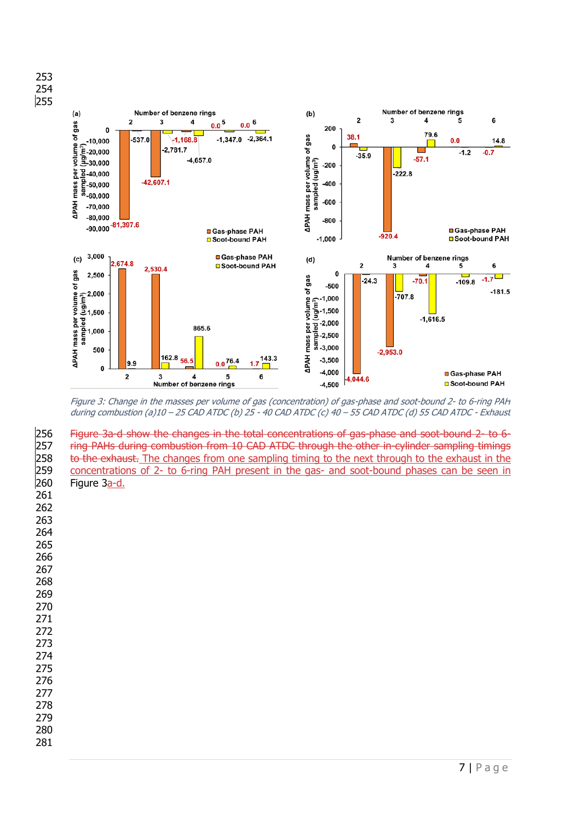

<span id="page-6-0"></span>Figure 3: Change in the masses per volume of gas (concentration) of gas-phase and soot-bound 2- to 6-ring PAH during combustion (a)10 – 25 CAD ATDC (b) 25 - 40 CAD ATDC (c) 40 – 55 CAD ATDC (d) 55 CAD ATDC - Exhaust

256 Figure 3a-d show the changes in the total concentrations of gas-phase and soot-bound 2- to 6-<br>257 Fing PAHs during combustion from 10 CAD ATDC through the other in-cylinder sampling timings ring PAHs during combustion from 10 CAD ATDC through the other in-cylinder sampling timings 258 to the exhaust. The changes from one sampling timing to the next through to the exhaust in the concentrations of 2- to 6-ring PAH present in the gas- and soot-bound phases can be seen in Figure  $3a-d$ .

- 
- 
-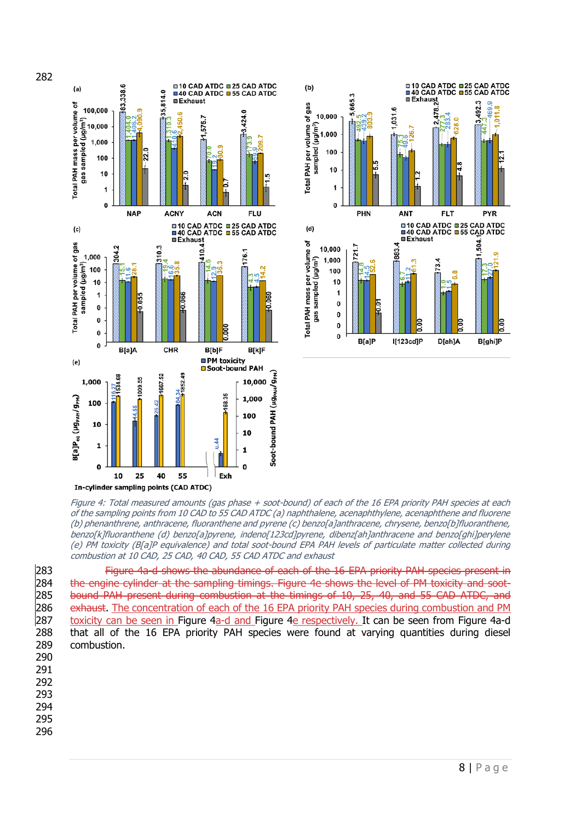



<span id="page-7-0"></span>Figure 4: Total measured amounts (gas phase + soot-bound) of each of the 16 EPA priority PAH species at each of the sampling points from 10 CAD to 55 CAD ATDC (a) naphthalene, acenaphthylene, acenaphthene and fluorene (b) phenanthrene, anthracene, fluoranthene and pyrene (c) benzo[a]anthracene, chrysene, benzo[b]fluoranthene, benzo[k]fluoranthene (d) benzo[a]pyrene, indeno[123cd]pyrene, dibenz[ah]anthracene and benzo[ghi]perylene (e) PM toxicity (B[a]P equivalence) and total soot-bound EPA PAH levels of particulate matter collected during combustion at 10 CAD, 25 CAD, 40 CAD, 55 CAD ATDC and exhaust

283 Figure 4a-d shows the abundance of each of the 16 EPA priority PAH species present in<br>284 the engine cylinder at the sampling timings. Figure 4e shows the level of PM toxicity and sootthe engine cylinder at the sampling timings. Figure 4e shows the level of PM toxicity and soot-285 bound PAH present during combustion at the timings of 10, 25, 40, and 55 CAD ATDC, and 286 exhaust. The concentration of each of the 16 EPA priority PAH species during combustion and PM 287 toxicity can be seen in [Figure 4a](#page-7-0)-d and [Figure 4e](#page-7-0) respectively. It can be seen from Figure 4a-d 288 that all of the 16 EPA priority PAH species were found at varying quantities during diesel 289 combustion.

290 291

- 292
- 293
- 294
- 295
- 296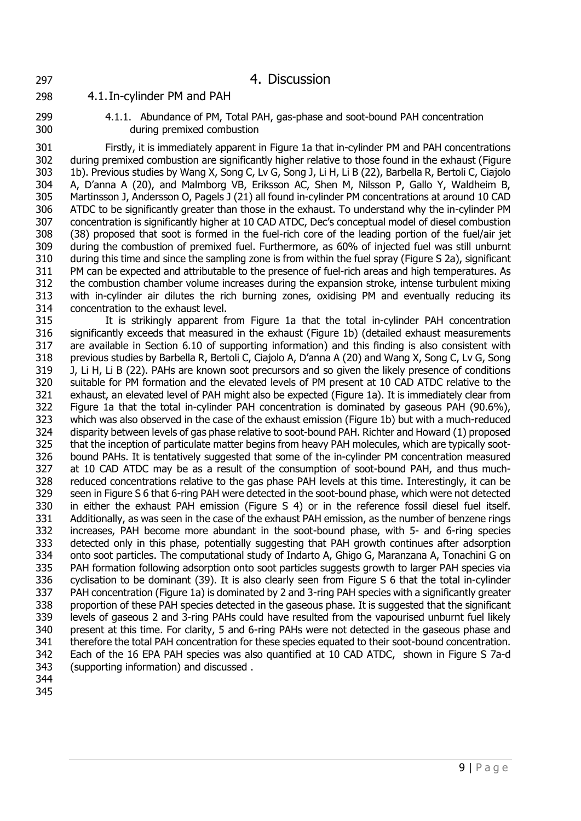# 4. Discussion

4.1.In-cylinder PM and PAH

 4.1.1. Abundance of PM, Total PAH, gas-phase and soot-bound PAH concentration during premixed combustion

 Firstly, it is immediately apparent in Figure 1a that in-cylinder PM and PAH concentrations during premixed combustion are significantly higher relative to those found in the exhaust (Figure 1b). Previous studies by Wang X, Song C, Lv G, Song J, Li H, Li B (22), Barbella R, Bertoli C, Ciajolo A, D'anna A (20), and Malmborg VB, Eriksson AC, Shen M, Nilsson P, Gallo Y, Waldheim B, Martinsson J, Andersson O, Pagels J (21) all found in-cylinder PM concentrations at around 10 CAD ATDC to be significantly greater than those in the exhaust. To understand why the in-cylinder PM concentration is significantly higher at 10 CAD ATDC, Dec's conceptual model of diesel combustion (38) proposed that soot is formed in the fuel-rich core of the leading portion of the fuel/air jet during the combustion of premixed fuel. Furthermore, as 60% of injected fuel was still unburnt during this time and since the sampling zone is from within the fuel spray (Figure S 2a), significant PM can be expected and attributable to the presence of fuel-rich areas and high temperatures. As the combustion chamber volume increases during the expansion stroke, intense turbulent mixing with in-cylinder air dilutes the rich burning zones, oxidising PM and eventually reducing its concentration to the exhaust level.

 It is strikingly apparent from Figure 1a that the total in-cylinder PAH concentration significantly exceeds that measured in the exhaust (Figure 1b) (detailed exhaust measurements are available in Section 6.10 of supporting information) and this finding is also consistent with previous studies by Barbella R, Bertoli C, Ciajolo A, D'anna A (20) and Wang X, Song C, Lv G, Song J, Li H, Li B (22). PAHs are known soot precursors and so given the likely presence of conditions suitable for PM formation and the elevated levels of PM present at 10 CAD ATDC relative to the exhaust, an elevated level of PAH might also be expected (Figure 1a). It is immediately clear from Figure 1a that the total in-cylinder PAH concentration is dominated by gaseous PAH (90.6%), which was also observed in the case of the exhaust emission (Figure 1b) but with a much-reduced disparity between levels of gas phase relative to soot-bound PAH. Richter and Howard (1) proposed that the inception of particulate matter begins from heavy PAH molecules, which are typically soot- bound PAHs. It is tentatively suggested that some of the in-cylinder PM concentration measured at 10 CAD ATDC may be as a result of the consumption of soot-bound PAH, and thus much- reduced concentrations relative to the gas phase PAH levels at this time. Interestingly, it can be seen in Figure S 6 that 6-ring PAH were detected in the soot-bound phase, which were not detected in either the exhaust PAH emission (Figure S 4) or in the reference fossil diesel fuel itself. Additionally, as was seen in the case of the exhaust PAH emission, as the number of benzene rings increases, PAH become more abundant in the soot-bound phase, with 5- and 6-ring species detected only in this phase, potentially suggesting that PAH growth continues after adsorption onto soot particles. The computational study of Indarto A, Ghigo G, Maranzana A, Tonachini G on PAH formation following adsorption onto soot particles suggests growth to larger PAH species via cyclisation to be dominant (39). It is also clearly seen from Figure S 6 that the total in-cylinder PAH concentration (Figure 1a) is dominated by 2 and 3-ring PAH species with a significantly greater proportion of these PAH species detected in the gaseous phase. It is suggested that the significant levels of gaseous 2 and 3-ring PAHs could have resulted from the vapourised unburnt fuel likely present at this time. For clarity, 5 and 6-ring PAHs were not detected in the gaseous phase and therefore the total PAH concentration for these species equated to their soot-bound concentration. Each of the 16 EPA PAH species was also quantified at 10 CAD ATDC, shown in Figure S 7a-d (supporting information) and discussed .

- 
-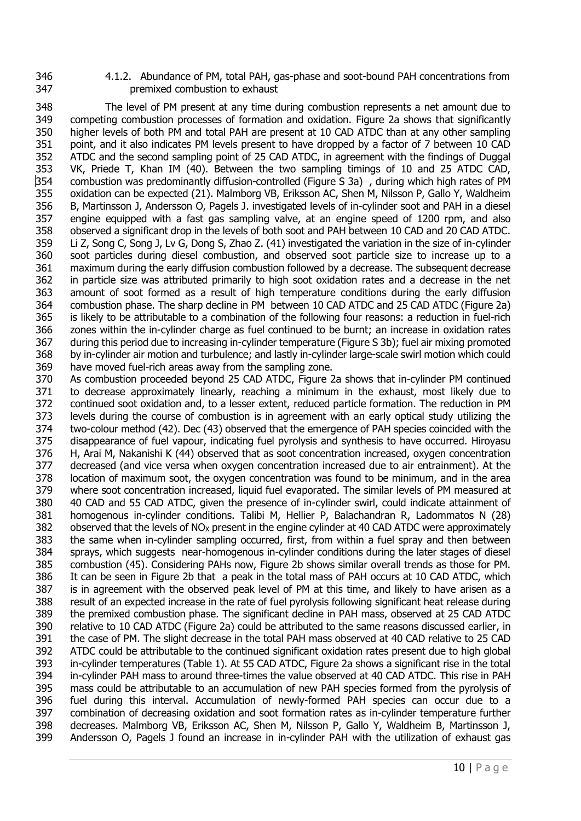4.1.2. Abundance of PM, total PAH, gas-phase and soot-bound PAH concentrations from premixed combustion to exhaust

 The level of PM present at any time during combustion represents a net amount due to competing combustion processes of formation and oxidation. Figure 2a shows that significantly higher levels of both PM and total PAH are present at 10 CAD ATDC than at any other sampling point, and it also indicates PM levels present to have dropped by a factor of 7 between 10 CAD ATDC and the second sampling point of 25 CAD ATDC, in agreement with the findings of Duggal VK, Priede T, Khan IM (40). Between the two sampling timings of 10 and 25 ATDC CAD, combustion was predominantly diffusion-controlled (Figure S 3a) –, during which high rates of PM oxidation can be expected (21). Malmborg VB, Eriksson AC, Shen M, Nilsson P, Gallo Y, Waldheim B, Martinsson J, Andersson O, Pagels J. investigated levels of in-cylinder soot and PAH in a diesel engine equipped with a fast gas sampling valve, at an engine speed of 1200 rpm, and also observed a significant drop in the levels of both soot and PAH between 10 CAD and 20 CAD ATDC. Li Z, Song C, Song J, Lv G, Dong S, Zhao Z. (41) investigated the variation in the size of in-cylinder soot particles during diesel combustion, and observed soot particle size to increase up to a maximum during the early diffusion combustion followed by a decrease. The subsequent decrease in particle size was attributed primarily to high soot oxidation rates and a decrease in the net amount of soot formed as a result of high temperature conditions during the early diffusion combustion phase. The sharp decline in PM between 10 CAD ATDC and 25 CAD ATDC (Figure 2a) is likely to be attributable to a combination of the following four reasons: a reduction in fuel-rich zones within the in-cylinder charge as fuel continued to be burnt; an increase in oxidation rates during this period due to increasing in-cylinder temperature (Figure S 3b); fuel air mixing promoted by in-cylinder air motion and turbulence; and lastly in-cylinder large-scale swirl motion which could have moved fuel-rich areas away from the sampling zone.

 As combustion proceeded beyond 25 CAD ATDC, Figure 2a shows that in-cylinder PM continued to decrease approximately linearly, reaching a minimum in the exhaust, most likely due to continued soot oxidation and, to a lesser extent, reduced particle formation. The reduction in PM levels during the course of combustion is in agreement with an early optical study utilizing the two-colour method (42). Dec (43) observed that the emergence of PAH species coincided with the disappearance of fuel vapour, indicating fuel pyrolysis and synthesis to have occurred. Hiroyasu H, Arai M, Nakanishi K (44) observed that as soot concentration increased, oxygen concentration decreased (and vice versa when oxygen concentration increased due to air entrainment). At the location of maximum soot, the oxygen concentration was found to be minimum, and in the area where soot concentration increased, liquid fuel evaporated. The similar levels of PM measured at 40 CAD and 55 CAD ATDC, given the presence of in-cylinder swirl, could indicate attainment of homogenous in-cylinder conditions. Talibi M, Hellier P, Balachandran R, Ladommatos N (28) 382 observed that the levels of  $NO<sub>X</sub>$  present in the engine cylinder at 40 CAD ATDC were approximately the same when in-cylinder sampling occurred, first, from within a fuel spray and then between sprays, which suggests near-homogenous in-cylinder conditions during the later stages of diesel combustion (45). Considering PAHs now, Figure 2b shows similar overall trends as those for PM. It can be seen in Figure 2b that a peak in the total mass of PAH occurs at 10 CAD ATDC, which is in agreement with the observed peak level of PM at this time, and likely to have arisen as a result of an expected increase in the rate of fuel pyrolysis following significant heat release during the premixed combustion phase. The significant decline in PAH mass, observed at 25 CAD ATDC relative to 10 CAD ATDC (Figure 2a) could be attributed to the same reasons discussed earlier, in the case of PM. The slight decrease in the total PAH mass observed at 40 CAD relative to 25 CAD ATDC could be attributable to the continued significant oxidation rates present due to high global in-cylinder temperatures (Table 1). At 55 CAD ATDC, Figure 2a shows a significant rise in the total in-cylinder PAH mass to around three-times the value observed at 40 CAD ATDC. This rise in PAH mass could be attributable to an accumulation of new PAH species formed from the pyrolysis of fuel during this interval. Accumulation of newly-formed PAH species can occur due to a combination of decreasing oxidation and soot formation rates as in-cylinder temperature further decreases. Malmborg VB, Eriksson AC, Shen M, Nilsson P, Gallo Y, Waldheim B, Martinsson J, Andersson O, Pagels J found an increase in in-cylinder PAH with the utilization of exhaust gas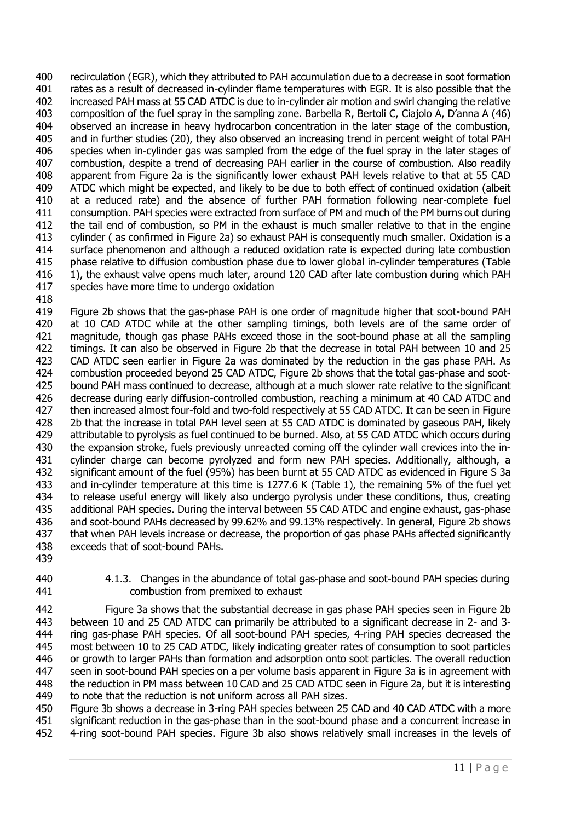recirculation (EGR), which they attributed to PAH accumulation due to a decrease in soot formation rates as a result of decreased in-cylinder flame temperatures with EGR. It is also possible that the increased PAH mass at 55 CAD ATDC is due to in-cylinder air motion and swirl changing the relative composition of the fuel spray in the sampling zone. Barbella R, Bertoli C, Ciajolo A, D'anna A (46) observed an increase in heavy hydrocarbon concentration in the later stage of the combustion, and in further studies (20), they also observed an increasing trend in percent weight of total PAH species when in-cylinder gas was sampled from the edge of the fuel spray in the later stages of combustion, despite a trend of decreasing PAH earlier in the course of combustion. Also readily apparent from Figure 2a is the significantly lower exhaust PAH levels relative to that at 55 CAD ATDC which might be expected, and likely to be due to both effect of continued oxidation (albeit at a reduced rate) and the absence of further PAH formation following near-complete fuel consumption. PAH species were extracted from surface of PM and much of the PM burns out during the tail end of combustion, so PM in the exhaust is much smaller relative to that in the engine cylinder ( as confirmed in Figure 2a) so exhaust PAH is consequently much smaller. Oxidation is a surface phenomenon and although a reduced oxidation rate is expected during late combustion phase relative to diffusion combustion phase due to lower global in-cylinder temperatures (Table 1), the exhaust valve opens much later, around 120 CAD after late combustion during which PAH species have more time to undergo oxidation

 Figure 2b shows that the gas-phase PAH is one order of magnitude higher that soot-bound PAH 420 at 10 CAD ATDC while at the other sampling timings, both levels are of the same order of magnitude, though gas phase PAHs exceed those in the soot-bound phase at all the sampling timings. It can also be observed in Figure 2b that the decrease in total PAH between 10 and 25 CAD ATDC seen earlier in Figure 2a was dominated by the reduction in the gas phase PAH. As combustion proceeded beyond 25 CAD ATDC, Figure 2b shows that the total gas-phase and soot- bound PAH mass continued to decrease, although at a much slower rate relative to the significant 426 decrease during early diffusion-controlled combustion, reaching a minimum at 40 CAD ATDC and<br>427 then increased almost four-fold and two-fold respectively at 55 CAD ATDC. It can be seen in Figure then increased almost four-fold and two-fold respectively at 55 CAD ATDC. It can be seen in Figure 2b that the increase in total PAH level seen at 55 CAD ATDC is dominated by gaseous PAH, likely attributable to pyrolysis as fuel continued to be burned. Also, at 55 CAD ATDC which occurs during the expansion stroke, fuels previously unreacted coming off the cylinder wall crevices into the in- cylinder charge can become pyrolyzed and form new PAH species. Additionally, although, a significant amount of the fuel (95%) has been burnt at 55 CAD ATDC as evidenced in Figure S 3a and in-cylinder temperature at this time is 1277.6 K (Table 1), the remaining 5% of the fuel yet to release useful energy will likely also undergo pyrolysis under these conditions, thus, creating additional PAH species. During the interval between 55 CAD ATDC and engine exhaust, gas-phase and soot-bound PAHs decreased by 99.62% and 99.13% respectively. In general, Figure 2b shows that when PAH levels increase or decrease, the proportion of gas phase PAHs affected significantly exceeds that of soot-bound PAHs.

- 
- 4.1.3. Changes in the abundance of total gas-phase and soot-bound PAH species during combustion from premixed to exhaust

 Figure 3a shows that the substantial decrease in gas phase PAH species seen in Figure 2b between 10 and 25 CAD ATDC can primarily be attributed to a significant decrease in 2- and 3- ring gas-phase PAH species. Of all soot-bound PAH species, 4-ring PAH species decreased the most between 10 to 25 CAD ATDC, likely indicating greater rates of consumption to soot particles or growth to larger PAHs than formation and adsorption onto soot particles. The overall reduction seen in soot-bound PAH species on a per volume basis apparent in Figure 3a is in agreement with the reduction in PM mass between 10 CAD and 25 CAD ATDC seen in Figure 2a, but it is interesting to note that the reduction is not uniform across all PAH sizes.

 Figure 3b shows a decrease in 3-ring PAH species between 25 CAD and 40 CAD ATDC with a more significant reduction in the gas-phase than in the soot-bound phase and a concurrent increase in 4-ring soot-bound PAH species. Figure 3b also shows relatively small increases in the levels of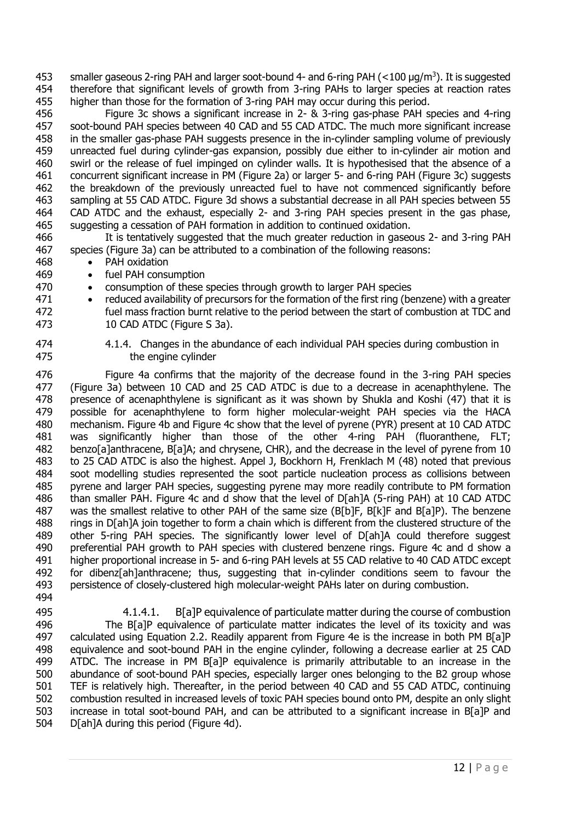453 smaller gaseous 2-ring PAH and larger soot-bound 4- and 6-ring PAH (<100 μg/m<sup>3</sup>). It is suggested therefore that significant levels of growth from 3-ring PAHs to larger species at reaction rates higher than those for the formation of 3-ring PAH may occur during this period.

 Figure 3c shows a significant increase in 2- & 3-ring gas-phase PAH species and 4-ring soot-bound PAH species between 40 CAD and 55 CAD ATDC. The much more significant increase in the smaller gas-phase PAH suggests presence in the in-cylinder sampling volume of previously unreacted fuel during cylinder-gas expansion, possibly due either to in-cylinder air motion and swirl or the release of fuel impinged on cylinder walls. It is hypothesised that the absence of a concurrent significant increase in PM (Figure 2a) or larger 5- and 6-ring PAH (Figure 3c) suggests the breakdown of the previously unreacted fuel to have not commenced significantly before sampling at 55 CAD ATDC. Figure 3d shows a substantial decrease in all PAH species between 55 CAD ATDC and the exhaust, especially 2- and 3-ring PAH species present in the gas phase, suggesting a cessation of PAH formation in addition to continued oxidation.

 It is tentatively suggested that the much greater reduction in gaseous 2- and 3-ring PAH species (Figure 3a) can be attributed to a combination of the following reasons:

- PAH oxidation
- fuel PAH consumption
- consumption of these species through growth to larger PAH species
- reduced availability of precursors for the formation of the first ring (benzene) with a greater fuel mass fraction burnt relative to the period between the start of combustion at TDC and 10 CAD ATDC (Figure S 3a).
- 

 4.1.4. Changes in the abundance of each individual PAH species during combustion in the engine cylinder

 Figure 4a confirms that the majority of the decrease found in the 3-ring PAH species (Figure 3a) between 10 CAD and 25 CAD ATDC is due to a decrease in acenaphthylene. The presence of acenaphthylene is significant as it was shown by Shukla and Koshi (47) that it is possible for acenaphthylene to form higher molecular-weight PAH species via the HACA mechanism. Figure 4b and Figure 4c show that the level of pyrene (PYR) present at 10 CAD ATDC was significantly higher than those of the other 4-ring PAH (fluoranthene, FLT; benzo[a]anthracene, B[a]A; and chrysene, CHR), and the decrease in the level of pyrene from 10 to 25 CAD ATDC is also the highest. Appel J, Bockhorn H, Frenklach M (48) noted that previous soot modelling studies represented the soot particle nucleation process as collisions between pyrene and larger PAH species, suggesting pyrene may more readily contribute to PM formation than smaller PAH. Figure 4c and d show that the level of D[ah]A (5-ring PAH) at 10 CAD ATDC was the smallest relative to other PAH of the same size (B[b]F, B[k]F and B[a]P). The benzene rings in D[ah]A join together to form a chain which is different from the clustered structure of the other 5-ring PAH species. The significantly lower level of D[ah]A could therefore suggest preferential PAH growth to PAH species with clustered benzene rings. Figure 4c and d show a higher proportional increase in 5- and 6-ring PAH levels at 55 CAD relative to 40 CAD ATDC except for dibenz[ah]anthracene; thus, suggesting that in-cylinder conditions seem to favour the persistence of closely-clustered high molecular-weight PAHs later on during combustion.

 4.1.4.1. B[a]P equivalence of particulate matter during the course of combustion The B[a]P equivalence of particulate matter indicates the level of its toxicity and was calculated using Equation 2.2. Readily apparent from Figure 4e is the increase in both PM B[a]P equivalence and soot-bound PAH in the engine cylinder, following a decrease earlier at 25 CAD ATDC. The increase in PM B[a]P equivalence is primarily attributable to an increase in the abundance of soot-bound PAH species, especially larger ones belonging to the B2 group whose TEF is relatively high. Thereafter, in the period between 40 CAD and 55 CAD ATDC, continuing combustion resulted in increased levels of toxic PAH species bound onto PM, despite an only slight increase in total soot-bound PAH, and can be attributed to a significant increase in B[a]P and D[ah]A during this period (Figure 4d).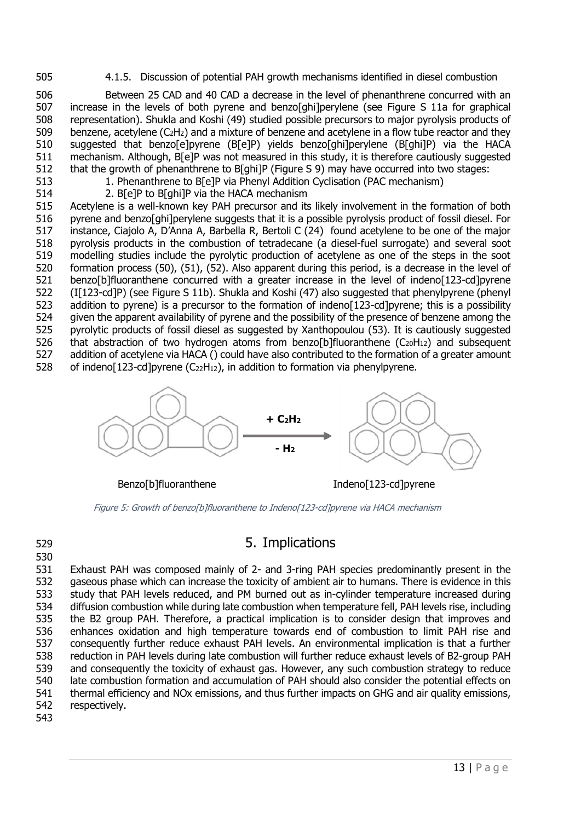4.1.5. Discussion of potential PAH growth mechanisms identified in diesel combustion

 Between 25 CAD and 40 CAD a decrease in the level of phenanthrene concurred with an increase in the levels of both pyrene and benzo[ghi]perylene (see Figure S 11a for graphical representation). Shukla and Koshi (49) studied possible precursors to major pyrolysis products of 509 benzene, acetylene  $(C_2H_2)$  and a mixture of benzene and acetylene in a flow tube reactor and they suggested that benzo[e]pyrene (B[e]P) yields benzo[ghi]perylene (B[ghi]P) via the HACA mechanism. Although, B[e]P was not measured in this study, it is therefore cautiously suggested that the growth of phenanthrene to B[ghi]P (Figure S 9) may have occurred into two stages:

- 
- 1. Phenanthrene to B[e]P via Phenyl Addition Cyclisation (PAC mechanism)
- 2. B[e]P to B[ghi]P via the HACA mechanism

 Acetylene is a well-known key PAH precursor and its likely involvement in the formation of both pyrene and benzo[ghi]perylene suggests that it is a possible pyrolysis product of fossil diesel. For instance, Ciajolo A, D'Anna A, Barbella R, Bertoli C (24) found acetylene to be one of the major pyrolysis products in the combustion of tetradecane (a diesel-fuel surrogate) and several soot modelling studies include the pyrolytic production of acetylene as one of the steps in the soot formation process (50), (51), (52). Also apparent during this period, is a decrease in the level of benzo[b]fluoranthene concurred with a greater increase in the level of indeno[123-cd]pyrene (I[123-cd]P) (see Figure S 11b). Shukla and Koshi (47) also suggested that phenylpyrene (phenyl 523 addition to pyrene) is a precursor to the formation of indeno[123-cd]pyrene; this is a possibility given the apparent availability of pyrene and the possibility of the presence of benzene among the pyrolytic products of fossil diesel as suggested by Xanthopoulou (53). It is cautiously suggested 526 that abstraction of two hydrogen atoms from benzo[b]fluoranthene  $(C_{20}H_{12})$  and subsequent addition of acetylene via HACA () could have also contributed to the formation of a greater amount 528 of indeno[123-cd]pyrene (C<sub>22</sub>H<sub>12</sub>), in addition to formation via phenylpyrene.



Benzo[b]fluoranthene Indeno[123-cd]pyrene

Figure 5: Growth of benzo[b]fluoranthene to Indeno[123-cd]pyrene via HACA mechanism

# 5. Implications

 Exhaust PAH was composed mainly of 2- and 3-ring PAH species predominantly present in the gaseous phase which can increase the toxicity of ambient air to humans. There is evidence in this study that PAH levels reduced, and PM burned out as in-cylinder temperature increased during diffusion combustion while during late combustion when temperature fell, PAH levels rise, including the B2 group PAH. Therefore, a practical implication is to consider design that improves and enhances oxidation and high temperature towards end of combustion to limit PAH rise and consequently further reduce exhaust PAH levels. An environmental implication is that a further reduction in PAH levels during late combustion will further reduce exhaust levels of B2-group PAH and consequently the toxicity of exhaust gas. However, any such combustion strategy to reduce late combustion formation and accumulation of PAH should also consider the potential effects on thermal efficiency and NOx emissions, and thus further impacts on GHG and air quality emissions, respectively.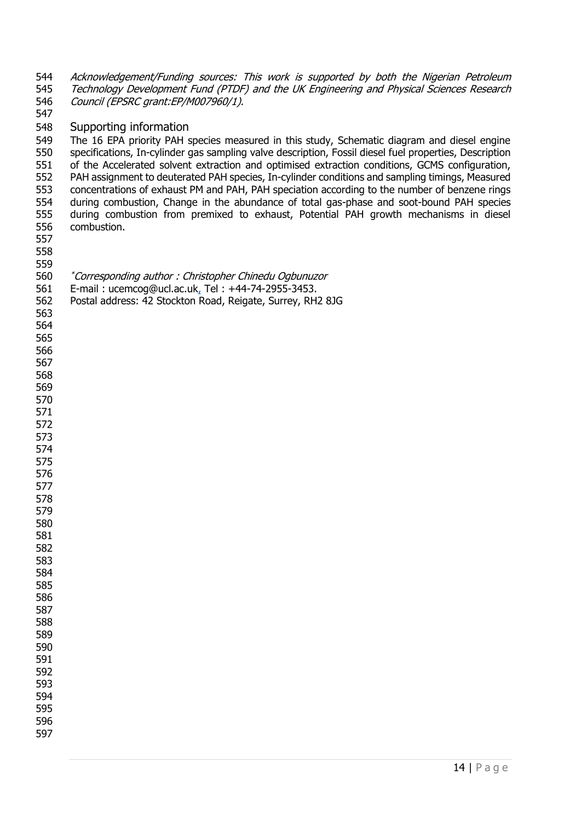544 Acknowledgement/Funding sources: This work is supported by both the Nigerian Petroleum 545 Technology Development Fund (PTDF) and the UK Engineering and Physical Sciences Research Council (EPSRC grant:EP/M007960/1).

#### Supporting information

 The 16 EPA priority PAH species measured in this study, Schematic diagram and diesel engine specifications, In-cylinder gas sampling valve description, Fossil diesel fuel properties, Description of the Accelerated solvent extraction and optimised extraction conditions, GCMS configuration, PAH assignment to deuterated PAH species, In-cylinder conditions and sampling timings, Measured concentrations of exhaust PM and PAH, PAH speciation according to the number of benzene rings during combustion, Change in the abundance of total gas-phase and soot-bound PAH species during combustion from premixed to exhaust, Potential PAH growth mechanisms in diesel combustion.

| P a g e

- 
- 
- 

*\*Corresponding author : Christopher Chinedu Ogbunuzor* 

- E-mail : ucemcog@ucl.ac.uk, Tel : +44-74-2955-3453.
- Postal address: 42 Stockton Road, Reigate, Surrey, RH2 8JG
- 
- 
- 
- 
- 
- 
- 
- 
- 
- 
- 
- 
- 
- 
-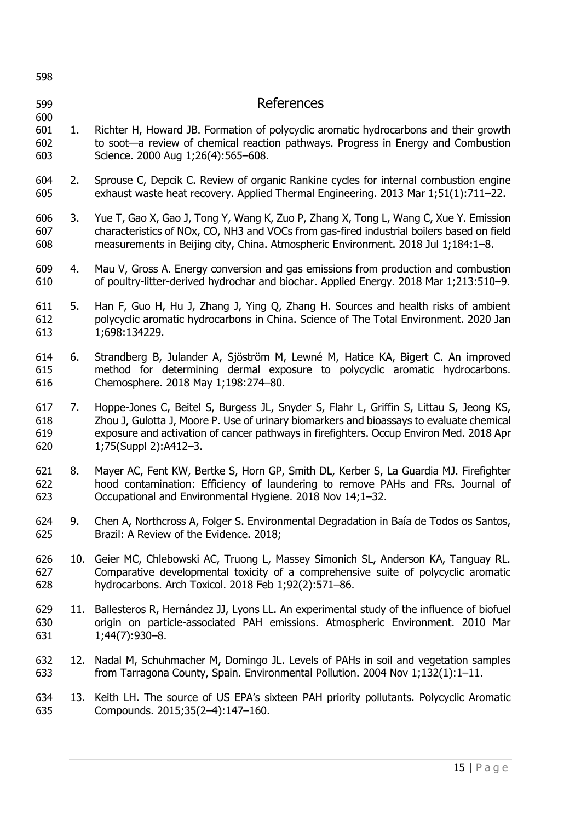| 598                      |     |                                                                                                                                                                                                                                                                                                        |
|--------------------------|-----|--------------------------------------------------------------------------------------------------------------------------------------------------------------------------------------------------------------------------------------------------------------------------------------------------------|
| 599                      |     | References                                                                                                                                                                                                                                                                                             |
| 600<br>601<br>602<br>603 | 1.  | Richter H, Howard JB. Formation of polycyclic aromatic hydrocarbons and their growth<br>to soot-a review of chemical reaction pathways. Progress in Energy and Combustion<br>Science. 2000 Aug 1;26(4):565-608.                                                                                        |
| 604<br>605               | 2.  | Sprouse C, Depcik C. Review of organic Rankine cycles for internal combustion engine<br>exhaust waste heat recovery. Applied Thermal Engineering. 2013 Mar 1;51(1):711-22.                                                                                                                             |
| 606<br>607<br>608        | 3.  | Yue T, Gao X, Gao J, Tong Y, Wang K, Zuo P, Zhang X, Tong L, Wang C, Xue Y. Emission<br>characteristics of NOx, CO, NH3 and VOCs from gas-fired industrial boilers based on field<br>measurements in Beijing city, China. Atmospheric Environment. 2018 Jul 1;184:1-8.                                 |
| 609<br>610               | 4.  | Mau V, Gross A. Energy conversion and gas emissions from production and combustion<br>of poultry-litter-derived hydrochar and biochar. Applied Energy. 2018 Mar 1;213:510-9.                                                                                                                           |
| 611<br>612<br>613        | 5.  | Han F, Guo H, Hu J, Zhang J, Ying Q, Zhang H. Sources and health risks of ambient<br>polycyclic aromatic hydrocarbons in China. Science of The Total Environment. 2020 Jan<br>1;698:134229.                                                                                                            |
| 614<br>615<br>616        | 6.  | Strandberg B, Julander A, Sjöström M, Lewné M, Hatice KA, Bigert C. An improved<br>method for determining dermal exposure to polycyclic aromatic hydrocarbons.<br>Chemosphere. 2018 May 1;198:274-80.                                                                                                  |
| 617<br>618<br>619<br>620 | 7.  | Hoppe-Jones C, Beitel S, Burgess JL, Snyder S, Flahr L, Griffin S, Littau S, Jeong KS,<br>Zhou J, Gulotta J, Moore P. Use of urinary biomarkers and bioassays to evaluate chemical<br>exposure and activation of cancer pathways in firefighters. Occup Environ Med. 2018 Apr<br>1;75(Suppl 2):A412-3. |
| 621<br>622<br>623        | 8.  | Mayer AC, Fent KW, Bertke S, Horn GP, Smith DL, Kerber S, La Guardia MJ. Firefighter<br>hood contamination: Efficiency of laundering to remove PAHs and FRs. Journal of<br>Occupational and Environmental Hygiene. 2018 Nov 14;1-32.                                                                   |
| 624<br>625               | 9.  | Chen A, Northcross A, Folger S. Environmental Degradation in Baía de Todos os Santos,<br>Brazil: A Review of the Evidence. 2018;                                                                                                                                                                       |
| 626<br>627<br>628        |     | 10. Geier MC, Chlebowski AC, Truong L, Massey Simonich SL, Anderson KA, Tanguay RL.<br>Comparative developmental toxicity of a comprehensive suite of polycyclic aromatic<br>hydrocarbons. Arch Toxicol. 2018 Feb 1;92(2):571-86.                                                                      |
| 629<br>630<br>631        | 11. | Ballesteros R, Hernández JJ, Lyons LL. An experimental study of the influence of biofuel<br>origin on particle-associated PAH emissions. Atmospheric Environment. 2010 Mar<br>$1;44(7):930-8.$                                                                                                         |
| 632<br>633               |     | 12. Nadal M, Schuhmacher M, Domingo JL. Levels of PAHs in soil and vegetation samples<br>from Tarragona County, Spain. Environmental Pollution. 2004 Nov 1;132(1):1-11.                                                                                                                                |
| 634<br>635               |     | 13. Keith LH. The source of US EPA's sixteen PAH priority pollutants. Polycyclic Aromatic<br>Compounds. 2015;35(2-4):147-160.                                                                                                                                                                          |
|                          |     |                                                                                                                                                                                                                                                                                                        |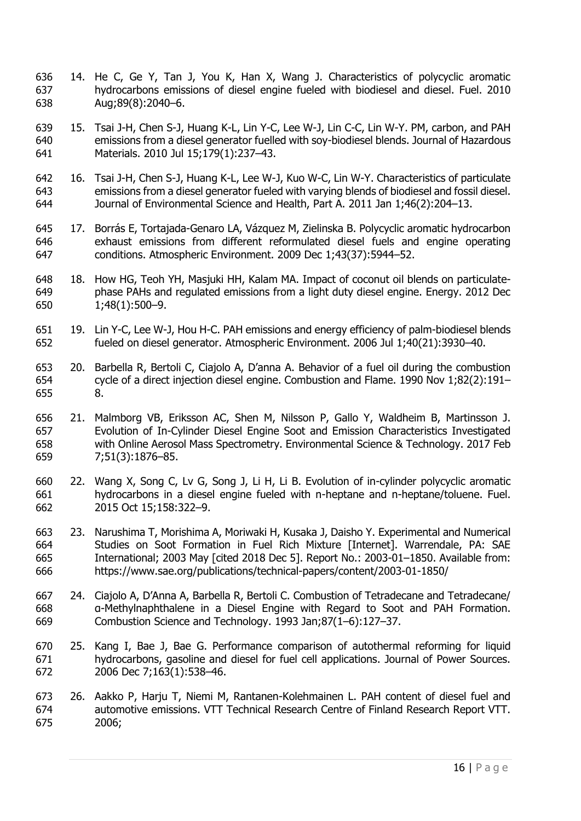- 14. He C, Ge Y, Tan J, You K, Han X, Wang J. Characteristics of polycyclic aromatic hydrocarbons emissions of diesel engine fueled with biodiesel and diesel. Fuel. 2010 Aug;89(8):2040–6.
- 15. Tsai J-H, Chen S-J, Huang K-L, Lin Y-C, Lee W-J, Lin C-C, Lin W-Y. PM, carbon, and PAH emissions from a diesel generator fuelled with soy-biodiesel blends. Journal of Hazardous Materials. 2010 Jul 15;179(1):237–43.
- 16. Tsai J-H, Chen S-J, Huang K-L, Lee W-J, Kuo W-C, Lin W-Y. Characteristics of particulate emissions from a diesel generator fueled with varying blends of biodiesel and fossil diesel. Journal of Environmental Science and Health, Part A. 2011 Jan 1;46(2):204–13.
- 17. Borrás E, Tortajada-Genaro LA, Vázquez M, Zielinska B. Polycyclic aromatic hydrocarbon exhaust emissions from different reformulated diesel fuels and engine operating conditions. Atmospheric Environment. 2009 Dec 1;43(37):5944–52.
- 18. How HG, Teoh YH, Masjuki HH, Kalam MA. Impact of coconut oil blends on particulate- phase PAHs and regulated emissions from a light duty diesel engine. Energy. 2012 Dec 1;48(1):500–9.
- 19. Lin Y-C, Lee W-J, Hou H-C. PAH emissions and energy efficiency of palm-biodiesel blends fueled on diesel generator. Atmospheric Environment. 2006 Jul 1;40(21):3930–40.
- 20. Barbella R, Bertoli C, Ciajolo A, D'anna A. Behavior of a fuel oil during the combustion cycle of a direct injection diesel engine. Combustion and Flame. 1990 Nov 1;82(2):191– 8.
- 21. Malmborg VB, Eriksson AC, Shen M, Nilsson P, Gallo Y, Waldheim B, Martinsson J. Evolution of In-Cylinder Diesel Engine Soot and Emission Characteristics Investigated with Online Aerosol Mass Spectrometry. Environmental Science & Technology. 2017 Feb 7;51(3):1876–85.
- 22. Wang X, Song C, Lv G, Song J, Li H, Li B. Evolution of in-cylinder polycyclic aromatic hydrocarbons in a diesel engine fueled with n-heptane and n-heptane/toluene. Fuel. 2015 Oct 15;158:322–9.
- 23. Narushima T, Morishima A, Moriwaki H, Kusaka J, Daisho Y. Experimental and Numerical Studies on Soot Formation in Fuel Rich Mixture [Internet]. Warrendale, PA: SAE International; 2003 May [cited 2018 Dec 5]. Report No.: 2003-01–1850. Available from: https://www.sae.org/publications/technical-papers/content/2003-01-1850/
- 24. Ciajolo A, D'Anna A, Barbella R, Bertoli C. Combustion of Tetradecane and Tetradecane/ α-Methylnaphthalene in a Diesel Engine with Regard to Soot and PAH Formation. Combustion Science and Technology. 1993 Jan;87(1–6):127–37.
- 25. Kang I, Bae J, Bae G. Performance comparison of autothermal reforming for liquid hydrocarbons, gasoline and diesel for fuel cell applications. Journal of Power Sources. 2006 Dec 7;163(1):538–46.
- 26. Aakko P, Harju T, Niemi M, Rantanen-Kolehmainen L. PAH content of diesel fuel and automotive emissions. VTT Technical Research Centre of Finland Research Report VTT. 2006;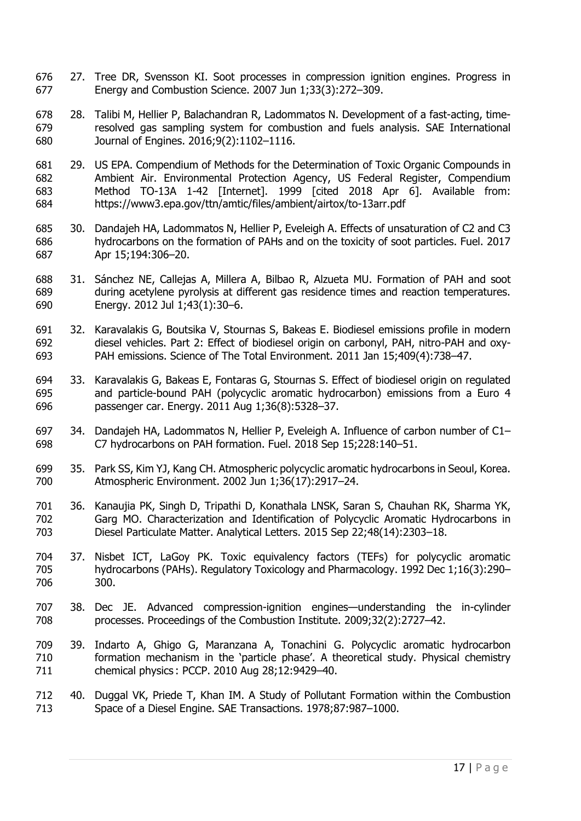- 27. Tree DR, Svensson KI. Soot processes in compression ignition engines. Progress in Energy and Combustion Science. 2007 Jun 1;33(3):272–309.
- 28. Talibi M, Hellier P, Balachandran R, Ladommatos N. Development of a fast-acting, time- resolved gas sampling system for combustion and fuels analysis. SAE International Journal of Engines. 2016;9(2):1102–1116.
- 29. US EPA. Compendium of Methods for the Determination of Toxic Organic Compounds in Ambient Air. Environmental Protection Agency, US Federal Register, Compendium Method TO-13A 1-42 [Internet]. 1999 [cited 2018 Apr 6]. Available from: https://www3.epa.gov/ttn/amtic/files/ambient/airtox/to-13arr.pdf
- 30. Dandajeh HA, Ladommatos N, Hellier P, Eveleigh A. Effects of unsaturation of C2 and C3 hydrocarbons on the formation of PAHs and on the toxicity of soot particles. Fuel. 2017 Apr 15;194:306–20.
- 31. Sánchez NE, Callejas A, Millera A, Bilbao R, Alzueta MU. Formation of PAH and soot during acetylene pyrolysis at different gas residence times and reaction temperatures. Energy. 2012 Jul 1;43(1):30–6.
- 32. Karavalakis G, Boutsika V, Stournas S, Bakeas E. Biodiesel emissions profile in modern diesel vehicles. Part 2: Effect of biodiesel origin on carbonyl, PAH, nitro-PAH and oxy-PAH emissions. Science of The Total Environment. 2011 Jan 15;409(4):738–47.
- 33. Karavalakis G, Bakeas E, Fontaras G, Stournas S. Effect of biodiesel origin on regulated and particle-bound PAH (polycyclic aromatic hydrocarbon) emissions from a Euro 4 passenger car. Energy. 2011 Aug 1;36(8):5328–37.
- 34. Dandajeh HA, Ladommatos N, Hellier P, Eveleigh A. Influence of carbon number of C1– C7 hydrocarbons on PAH formation. Fuel. 2018 Sep 15;228:140–51.
- 35. Park SS, Kim YJ, Kang CH. Atmospheric polycyclic aromatic hydrocarbons in Seoul, Korea. Atmospheric Environment. 2002 Jun 1;36(17):2917–24.
- 36. Kanaujia PK, Singh D, Tripathi D, Konathala LNSK, Saran S, Chauhan RK, Sharma YK, Garg MO. Characterization and Identification of Polycyclic Aromatic Hydrocarbons in Diesel Particulate Matter. Analytical Letters. 2015 Sep 22;48(14):2303–18.
- 37. Nisbet ICT, LaGoy PK. Toxic equivalency factors (TEFs) for polycyclic aromatic hydrocarbons (PAHs). Regulatory Toxicology and Pharmacology. 1992 Dec 1;16(3):290– 300.
- 38. Dec JE. Advanced compression-ignition engines—understanding the in-cylinder processes. Proceedings of the Combustion Institute. 2009;32(2):2727–42.
- 39. Indarto A, Ghigo G, Maranzana A, Tonachini G. Polycyclic aromatic hydrocarbon formation mechanism in the 'particle phase'. A theoretical study. Physical chemistry chemical physics : PCCP. 2010 Aug 28;12:9429–40.
- 40. Duggal VK, Priede T, Khan IM. A Study of Pollutant Formation within the Combustion Space of a Diesel Engine. SAE Transactions. 1978;87:987–1000.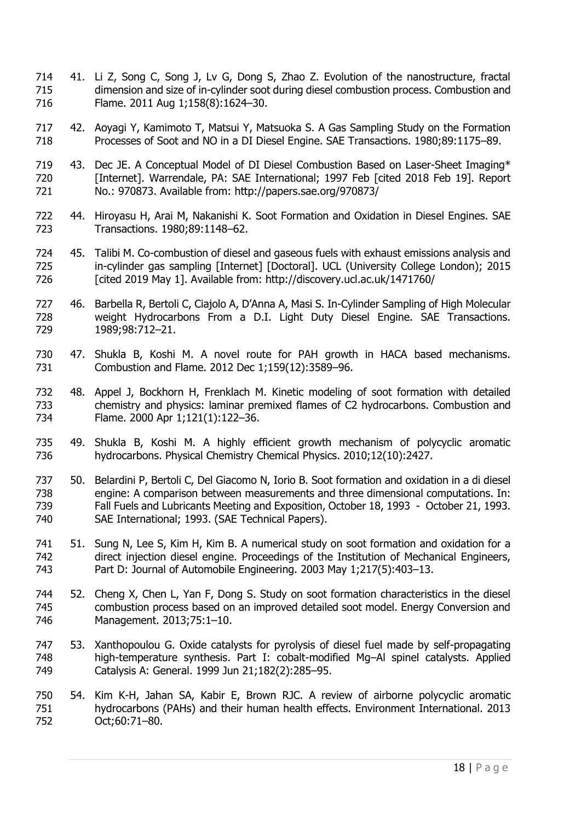- 41. Li Z, Song C, Song J, Lv G, Dong S, Zhao Z. Evolution of the nanostructure, fractal dimension and size of in-cylinder soot during diesel combustion process. Combustion and Flame. 2011 Aug 1;158(8):1624–30.
- 42. Aoyagi Y, Kamimoto T, Matsui Y, Matsuoka S. A Gas Sampling Study on the Formation Processes of Soot and NO in a DI Diesel Engine. SAE Transactions. 1980;89:1175–89.
- 719 43. Dec JE. A Conceptual Model of DI Diesel Combustion Based on Laser-Sheet Imaging\* [Internet]. Warrendale, PA: SAE International; 1997 Feb [cited 2018 Feb 19]. Report No.: 970873. Available from: http://papers.sae.org/970873/
- 44. Hiroyasu H, Arai M, Nakanishi K. Soot Formation and Oxidation in Diesel Engines. SAE Transactions. 1980;89:1148–62.
- 45. Talibi M. Co-combustion of diesel and gaseous fuels with exhaust emissions analysis and in-cylinder gas sampling [Internet] [Doctoral]. UCL (University College London); 2015 [cited 2019 May 1]. Available from: http://discovery.ucl.ac.uk/1471760/
- 46. Barbella R, Bertoli C, Ciajolo A, D'Anna A, Masi S. In-Cylinder Sampling of High Molecular weight Hydrocarbons From a D.I. Light Duty Diesel Engine. SAE Transactions. 1989;98:712–21.
- 47. Shukla B, Koshi M. A novel route for PAH growth in HACA based mechanisms. Combustion and Flame. 2012 Dec 1;159(12):3589–96.
- 48. Appel J, Bockhorn H, Frenklach M. Kinetic modeling of soot formation with detailed chemistry and physics: laminar premixed flames of C2 hydrocarbons. Combustion and Flame. 2000 Apr 1;121(1):122–36.
- 49. Shukla B, Koshi M. A highly efficient growth mechanism of polycyclic aromatic hydrocarbons. Physical Chemistry Chemical Physics. 2010;12(10):2427.
- 50. Belardini P, Bertoli C, Del Giacomo N, Iorio B. Soot formation and oxidation in a di diesel engine: A comparison between measurements and three dimensional computations. In: Fall Fuels and Lubricants Meeting and Exposition, October 18, 1993 - October 21, 1993. SAE International; 1993. (SAE Technical Papers).
- 51. Sung N, Lee S, Kim H, Kim B. A numerical study on soot formation and oxidation for a direct injection diesel engine. Proceedings of the Institution of Mechanical Engineers, Part D: Journal of Automobile Engineering. 2003 May 1;217(5):403–13.
- 52. Cheng X, Chen L, Yan F, Dong S. Study on soot formation characteristics in the diesel combustion process based on an improved detailed soot model. Energy Conversion and Management. 2013;75:1–10.
- 53. Xanthopoulou G. Oxide catalysts for pyrolysis of diesel fuel made by self-propagating high-temperature synthesis. Part I: cobalt-modified Mg–Al spinel catalysts. Applied Catalysis A: General. 1999 Jun 21;182(2):285–95.
- 54. Kim K-H, Jahan SA, Kabir E, Brown RJC. A review of airborne polycyclic aromatic hydrocarbons (PAHs) and their human health effects. Environment International. 2013 Oct;60:71–80.